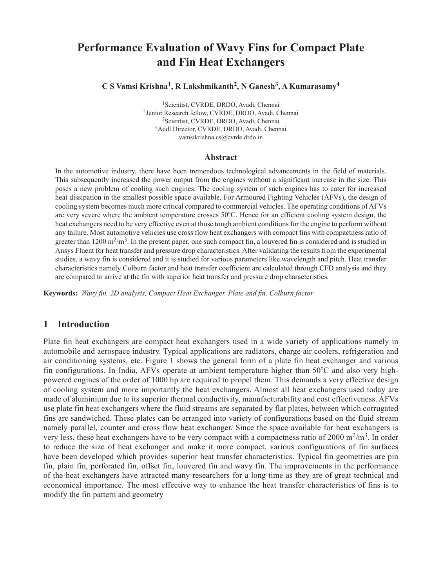# **Performance Evaluation of Wavy Fins for Compact Plate and Fin Heat Exchangers**

**C S Vamsi Krishna1, R Lakshmikanth2, N Ganesh3, A Kumarasamy4**

1Scientist, CVRDE, DRDO, Avadi, Chennai 2Junior Research fellow, CVRDE, DRDO, Avadi, Chennai 3Scientist, CVRDE, DRDO, Avadi, Chennai 4Addl Director, CVRDE, DRDO, Avadi, Chennai vamsikrishna.cs@cvrde.drdo.in

#### **Abstract**

In the automotive industry, there have been tremendous technological advancements in the field of materials. This subsequently increased the power output from the engines without a significant increase in the size. This poses a new problem of cooling such engines. The cooling system of such engines has to cater for increased heat dissipation in the smallest possible space available. For Armoured Fighting Vehicles (AFVs), the design of cooling system becomes much more critical compared to commercial vehicles. The operating conditions of AFVs are very severe where the ambient temperature crosses 50*°*C. Hence for an efficient cooling system design, the heat exchangers need to be very effective even at those tough ambient conditions for the engine to perform without any failure. Most automotive vehicles use cross flow heat exchangers with compact fins with compactness ratio of greater than  $1200 \text{ m}^2/\text{m}^3$ . In the present paper, one such compact fin, a louvered fin is considered and is studied in Ansys Fluent for heat transfer and pressure drop characteristics. After validating the results from the experimental studies, a wavy fin is considered and it is studied for various parameters like wavelength and pitch. Heat transfer characteristics namely Colburn factor and heat transfer coefficient are calculated through CFD analysis and they are compared to arrive at the fin with superior heat transfer and pressure drop characteristics*.* 

**Keywords:** *Wavy fin, 2D analysis, Compact Heat Exchanger, Plate and fin, Colburn factor*

# **1 Introduction**

Plate fin heat exchangers are compact heat exchangers used in a wide variety of applications namely in automobile and aerospace industry. Typical applications are radiators, charge air coolers, refrigeration and air conditioning systems, etc. Figure 1 shows the general form of a plate fin heat exchanger and various fin configurations. In India, AFVs operate at ambient temperature higher than 50*°*C and also very highpowered engines of the order of 1000 hp are required to propel them. This demands a very effective design of cooling system and more importantly the heat exchangers. Almost all heat exchangers used today are made of aluminium due to its superior thermal conductivity, manufacturability and cost effectiveness. AFVs use plate fin heat exchangers where the fluid streams are separated by flat plates, between which corrugated fins are sandwiched. These plates can be arranged into variety of configurations based on the fluid stream namely parallel, counter and cross flow heat exchanger. Since the space available for heat exchangers is very less, these heat exchangers have to be very compact with a compactness ratio of 2000  $\text{m}^2/\text{m}^3$ . In order to reduce the size of heat exchanger and make it more compact, various configurations of fin surfaces have been developed which provides superior heat transfer characteristics. Typical fin geometries are pin fin, plain fin, perforated fin, offset fin, louvered fin and wavy fin. The improvements in the performance of the heat exchangers have attracted many researchers for a long time as they are of great technical and economical importance. The most effective way to enhance the heat transfer characteristics of fins is to modify the fin pattern and geometry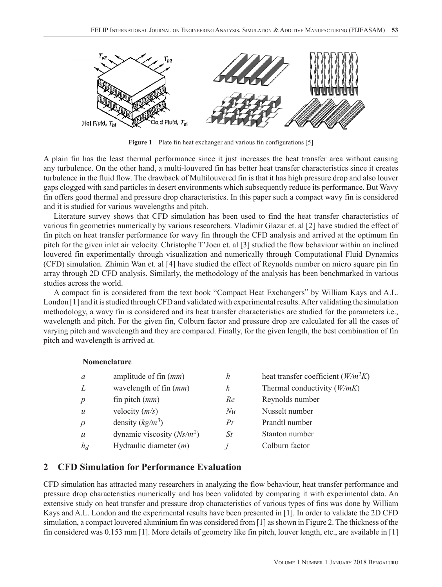

Figure 1 Plate fin heat exchanger and various fin configurations [5]

A plain fin has the least thermal performance since it just increases the heat transfer area without causing any turbulence. On the other hand, a multi-louvered fin has better heat transfer characteristics since it creates turbulence in the fluid flow. The drawback of Multilouvered fin is that it has high pressure drop and also louver gaps clogged with sand particles in desert environments which subsequently reduce its performance. But Wavy fin offers good thermal and pressure drop characteristics. In this paper such a compact wavy fin is considered and it is studied for various wavelengths and pitch.

Literature survey shows that CFD simulation has been used to find the heat transfer characteristics of various fin geometries numerically by various researchers. Vladimir Glazar et. al [2] have studied the effect of fin pitch on heat transfer performance for wavy fin through the CFD analysis and arrived at the optimum fin pitch for the given inlet air velocity. Christophe T'Joen et. al [3] studied the flow behaviour within an inclined louvered fin experimentally through visualization and numerically through Computational Fluid Dynamics (CFD) simulation. Zhimin Wan et. al [4] have studied the effect of Reynolds number on micro square pin fin array through 2D CFD analysis. Similarly, the methodology of the analysis has been benchmarked in various studies across the world.

A compact fin is considered from the text book "Compact Heat Exchangers" by William Kays and A.L. London [1] and it is studied through CFD and validated with experimental results. After validating the simulation methodology, a wavy fin is considered and its heat transfer characteristics are studied for the parameters i.e., wavelength and pitch. For the given fin, Colburn factor and pressure drop are calculated for all the cases of varying pitch and wavelength and they are compared. Finally, for the given length, the best combination of fin pitch and wavelength is arrived at.

#### **Nomenclature**

| $\mathfrak{a}$   | amplitude of fin $(mm)$      | h  | heat transfer coefficient $(W/m^2K)$ |
|------------------|------------------------------|----|--------------------------------------|
| L                | wavelength of fin $(mm)$     | k  | Thermal conductivity $(W/mK)$        |
| p                | fin pitch $(mm)$             | Re | Reynolds number                      |
| $\boldsymbol{u}$ | velocity $(m/s)$             | Nu | Nusselt number                       |
| $\rho$           | density $(kg/m^3)$           | Pr | Prandtl number                       |
| $\mu$            | dynamic viscosity $(Ns/m^2)$ | St | Stanton number                       |
| $h_d$            | Hydraulic diameter $(m)$     |    | Colburn factor                       |

# **2 CFD Simulation for Performance Evaluation**

CFD simulation has attracted many researchers in analyzing the flow behaviour, heat transfer performance and pressure drop characteristics numerically and has been validated by comparing it with experimental data. An extensive study on heat transfer and pressure drop characteristics of various types of fins was done by William Kays and A.L. London and the experimental results have been presented in [1]. In order to validate the 2D CFD simulation, a compact louvered aluminium fin was considered from [1] as shown in Figure 2. The thickness of the fin considered was 0.153 mm [1]. More details of geometry like fin pitch, louver length, etc., are available in [1]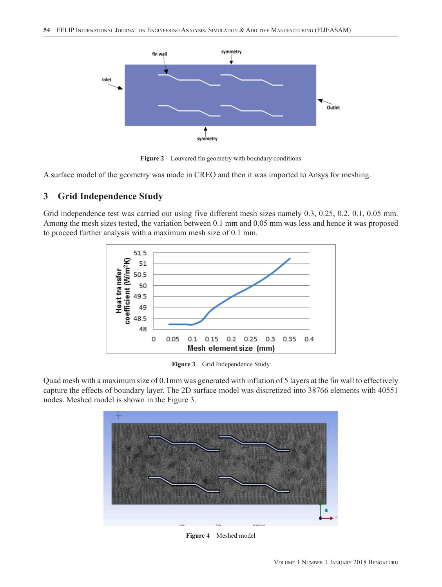

Figure 2 Louvered fin geometry with boundary conditions

A surface model of the geometry was made in CREO and then it was imported to Ansys for meshing.

## **3 Grid Independence Study**

Grid independence test was carried out using five different mesh sizes namely 0.3, 0.25, 0.2, 0.1, 0.05 mm. Among the mesh sizes tested, the variation between 0.1 mm and 0.05 mm was less and hence it was proposed to proceed further analysis with a maximum mesh size of 0.1 mm.



Figure 3 Grid Independence Study

Quad mesh with a maximum size of 0.1mm was generated with inflation of 5 layers at the fin wall to effectively capture the effects of boundary layer. The 2D surface model was discretized into 38766 elements with 40551 nodes. Meshed model is shown in the Figure 3.



**Figure 4** Meshed model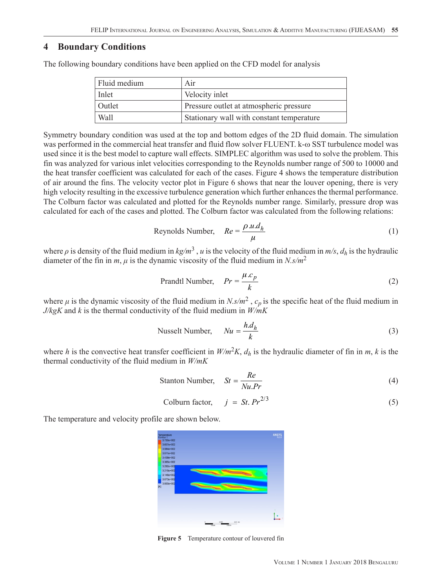#### **4 Boundary Conditions**

The following boundary conditions have been applied on the CFD model for analysis

| Fluid medium | Air                                       |
|--------------|-------------------------------------------|
| Inlet        | Velocity inlet                            |
| Outlet       | Pressure outlet at atmospheric pressure   |
| Wall         | Stationary wall with constant temperature |

Symmetry boundary condition was used at the top and bottom edges of the 2D fluid domain. The simulation was performed in the commercial heat transfer and fluid flow solver FLUENT. k-ω SST turbulence model was used since it is the best model to capture wall effects. SIMPLEC algorithm was used to solve the problem. This fin was analyzed for various inlet velocities corresponding to the Reynolds number range of 500 to 10000 and the heat transfer coefficient was calculated for each of the cases. Figure 4 shows the temperature distribution of air around the fins. The velocity vector plot in Figure 6 shows that near the louver opening, there is very high velocity resulting in the excessive turbulence generation which further enhances the thermal performance. The Colburn factor was calculated and plotted for the Reynolds number range. Similarly, pressure drop was calculated for each of the cases and plotted. The Colburn factor was calculated from the following relations:

Reynolds Number, 
$$
Re = \frac{\rho.u.d_h}{\mu}
$$
 (1)

where  $\rho$  is density of the fluid medium in  $kg/m^3$ , *u* is the velocity of the fluid medium in  $m/s$ ,  $d_h$  is the hydraulic diameter of the fin in *m*,  $\mu$  is the dynamic viscosity of the fluid medium in *N.s/m*<sup>2</sup>

$$
Prandtl\;Number, \quad Pr = \frac{\mu.c_p}{k} \tag{2}
$$

where  $\mu$  is the dynamic viscosity of the fluid medium in *N.s/m*<sup>2</sup>,  $c_p$  is the specific heat of the fluid medium in *J/kgK* and *k* is the thermal conductivity of the fluid medium in *W/mK*

Nusselt Number, 
$$
Nu = \frac{h.d_h}{k}
$$
 (3)

where *h* is the convective heat transfer coefficient in  $W/m^2K$ ,  $d_h$  is the hydraulic diameter of fin in *m*, *k* is the thermal conductivity of the fluid medium in *W/mK*

$$
Stanton Number, \tSt = \frac{Re}{Nu.Pr} \t(4)
$$

Column factor,

\n
$$
j = St. Pr^{2/3}
$$
\n(5)

The temperature and velocity profile are shown below.



**Figure 5** Temperature contour of louvered fin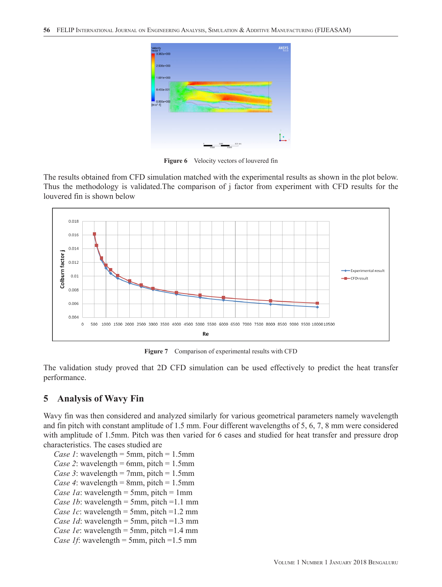

**Figure 6** Velocity vectors of louvered fin

The results obtained from CFD simulation matched with the experimental results as shown in the plot below. Thus the methodology is validated.The comparison of j factor from experiment with CFD results for the louvered fin is shown below



**Figure 7** Comparison of experimental results with CFD

The validation study proved that 2D CFD simulation can be used effectively to predict the heat transfer performance.

### **5 Analysis of Wavy Fin**

Wavy fin was then considered and analyzed similarly for various geometrical parameters namely wavelength and fin pitch with constant amplitude of 1.5 mm. Four different wavelengths of 5, 6, 7, 8 mm were considered with amplitude of 1.5mm. Pitch was then varied for 6 cases and studied for heat transfer and pressure drop characteristics. The cases studied are

*Case 1*: wavelength = 5mm, pitch = 1.5mm *Case 2*: wavelength = 6mm, pitch = 1.5mm *Case 3*: wavelength = 7mm, pitch =  $1.5$ mm *Case 4*: wavelength = 8mm, pitch =  $1.5$ mm *Case 1a*: wavelength = 5mm, pitch = 1mm *Case 1b*: wavelength = 5mm, pitch =  $1.1$  mm *Case 1c*: wavelength = 5mm, pitch =1.2 mm *Case 1d*: wavelength = 5mm, pitch =1.3 mm *Case 1e*: wavelength = 5mm, pitch =1.4 mm *Case 1f*: wavelength = 5mm, pitch =1.5 mm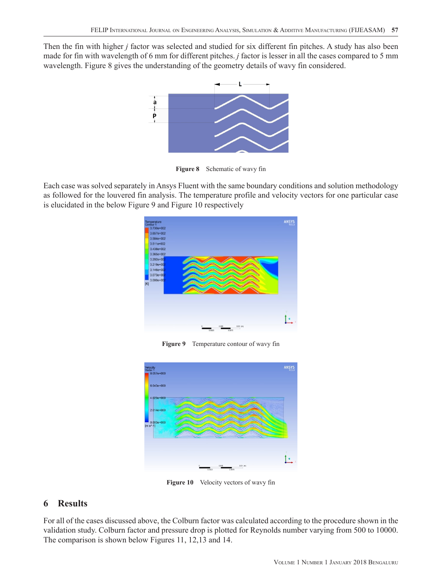Then the fin with higher *j* factor was selected and studied for six different fin pitches. A study has also been made for fin with wavelength of 6 mm for different pitches. *j* factor is lesser in all the cases compared to 5 mm wavelength. Figure 8 gives the understanding of the geometry details of wavy fin considered.



**Figure 8** Schematic of wavy fin

Each case was solved separately in Ansys Fluent with the same boundary conditions and solution methodology as followed for the louvered fin analysis. The temperature profile and velocity vectors for one particular case is elucidated in the below Figure 9 and Figure 10 respectively



**Figure 9** Temperature contour of wavy fin



**Figure 10** Velocity vectors of wavy fin

# **6 Results**

For all of the cases discussed above, the Colburn factor was calculated according to the procedure shown in the validation study. Colburn factor and pressure drop is plotted for Reynolds number varying from 500 to 10000. The comparison is shown below Figures 11, 12,13 and 14.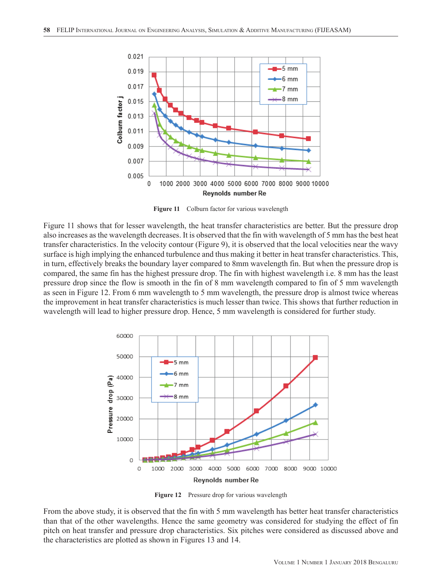

Figure 11 Colburn factor for various wavelength

Figure 11 shows that for lesser wavelength, the heat transfer characteristics are better. But the pressure drop also increases as the wavelength decreases. It is observed that the fin with wavelength of 5 mm has the best heat transfer characteristics. In the velocity contour (Figure 9), it is observed that the local velocities near the wavy surface is high implying the enhanced turbulence and thus making it better in heat transfer characteristics. This, in turn, effectively breaks the boundary layer compared to 8mm wavelength fin. But when the pressure drop is compared, the same fin has the highest pressure drop. The fin with highest wavelength i.e. 8 mm has the least pressure drop since the flow is smooth in the fin of 8 mm wavelength compared to fin of 5 mm wavelength as seen in Figure 12. From 6 mm wavelength to 5 mm wavelength, the pressure drop is almost twice whereas the improvement in heat transfer characteristics is much lesser than twice. This shows that further reduction in wavelength will lead to higher pressure drop. Hence, 5 mm wavelength is considered for further study.



**Figure 12** Pressure drop for various wavelength

From the above study, it is observed that the fin with 5 mm wavelength has better heat transfer characteristics than that of the other wavelengths. Hence the same geometry was considered for studying the effect of fin pitch on heat transfer and pressure drop characteristics. Six pitches were considered as discussed above and the characteristics are plotted as shown in Figures 13 and 14.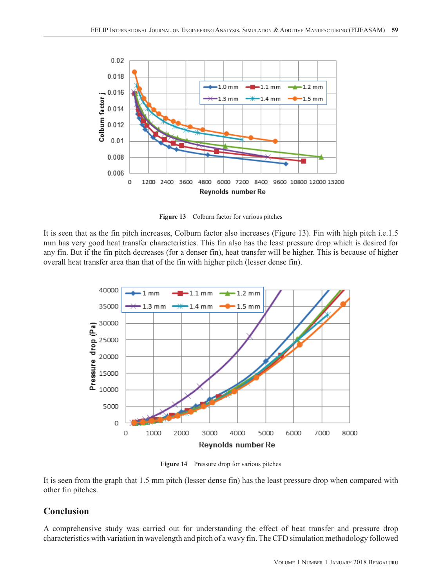

**Figure 13** Colburn factor for various pitches

It is seen that as the fin pitch increases, Colburn factor also increases (Figure 13). Fin with high pitch i.e.1.5 mm has very good heat transfer characteristics. This fin also has the least pressure drop which is desired for any fin. But if the fin pitch decreases (for a denser fin), heat transfer will be higher. This is because of higher overall heat transfer area than that of the fin with higher pitch (lesser dense fin).



**Figure 14** Pressure drop for various pitches

It is seen from the graph that 1.5 mm pitch (lesser dense fin) has the least pressure drop when compared with other fin pitches.

# **Conclusion**

A comprehensive study was carried out for understanding the effect of heat transfer and pressure drop characteristics with variation in wavelength and pitch of a wavy fin. The CFD simulation methodology followed